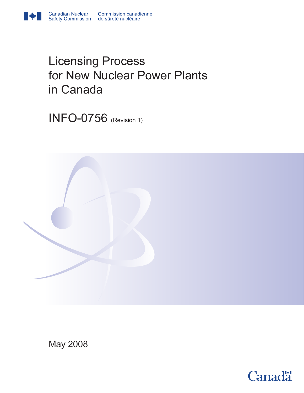

INFO-0756 (Revision 1)

**Canadian Nuclear** 



May 2008

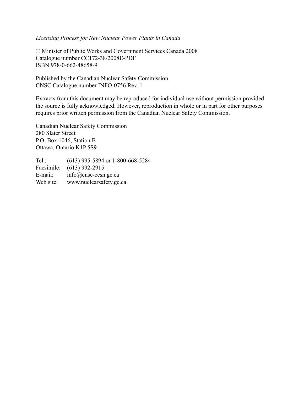### *Licensing Process for New Nuclear Power Plants in Canada*

© Minister of Public Works and Government Services Canada 2008 Catalogue number CC172-38/2008E-PDF ISBN 978-0-662-48658-9

Published by the Canadian Nuclear Safety Commission CNSC Catalogue number INFO-0756 Rev. 1

Extracts from this document may be reproduced for individual use without permission provided the source is fully acknowledged. However, reproduction in whole or in part for other purposes requires prior written permission from the Canadian Nuclear Safety Commission.

Canadian Nuclear Safety Commission 280 Slater Street P.O. Box 1046, Station B Ottawa, Ontario K1P 5S9

Tel.: (613) 995-5894 or 1-800-668-5284 Facsimile: (613) 992-2915 E-mail: info@cnsc-ccsn.gc.ca Web site: www.nuclearsafety.gc.ca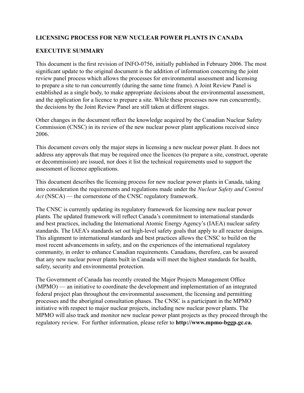### **Licensing Process For New Nuclear Power Plants In Canada**

### **Executive Summary**

This document is the first revision of INFO-0756, initially published in February 2006. The most significant update to the original document is the addition of information concerning the joint review panel process which allows the processes for environmental assessment and licensing to prepare a site to run concurrently (during the same time frame). A Joint Review Panel is established as a single body, to make appropriate decisions about the environmental assessment, and the application for a licence to prepare a site. While these processes now run concurrently, the decisions by the Joint Review Panel are still taken at different stages.

Other changes in the document reflect the knowledge acquired by the Canadian Nuclear Safety Commission (CNSC) in its review of the new nuclear power plant applications received since 2006.

This document covers only the major steps in licensing a new nuclear power plant. It does not address any approvals that may be required once the licences (to prepare a site, construct, operate or decommission) are issued, nor does it list the technical requirements used to support the assessment of licence applications.

This document describes the licensing process for new nuclear power plants in Canada, taking into consideration the requirements and regulations made under the *Nuclear Safety and Control Act* (NSCA) — the cornerstone of the CNSC regulatory framework.

The CNSC is currently updating its regulatory framework for licensing new nuclear power plants. The updated framework will reflect Canada's commitment to international standards and best practices, including the International Atomic Energy Agency's (IAEA) nuclear safety standards. The IAEA's standards set out high-level safety goals that apply to all reactor designs. This alignment to international standards and best practices allows the CNSC to build on the most recent advancements in safety, and on the experiences of the international regulatory community, in order to enhance Canadian requirements. Canadians, therefore, can be assured that any new nuclear power plants built in Canada will meet the highest standards for health, safety, security and environmental protection.

The Government of Canada has recently created the Major Projects Management Office (MPMO) — an initiative to coordinate the development and implementation of an integrated federal project plan throughout the environmental assessment, the licensing and permitting processes and the aboriginal consultation phases. The CNSC is a participant in the MPMO initiative with respect to major nuclear projects, including new nuclear power plants. The MPMO will also track and monitor new nuclear power plant projects as they proceed through the regulatory review. For further information, please refer to **http://www.mpmo-bggp.gc.ca.**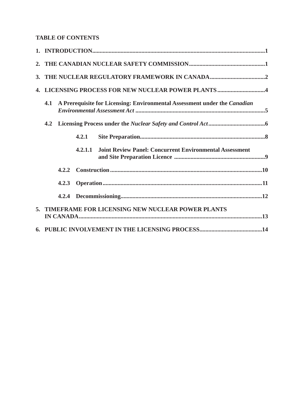# **TABLE OF CONTENTS**

| 4. LICENSING PROCESS FOR NEW NUCLEAR POWER PLANTS 4 |                                                                           |         |                                                                |  |  |
|-----------------------------------------------------|---------------------------------------------------------------------------|---------|----------------------------------------------------------------|--|--|
| 4.1                                                 | A Prerequisite for Licensing: Environmental Assessment under the Canadian |         |                                                                |  |  |
|                                                     |                                                                           |         |                                                                |  |  |
|                                                     |                                                                           | 4.2.1   |                                                                |  |  |
|                                                     |                                                                           | 4.2.1.1 | <b>Joint Review Panel: Concurrent Environmental Assessment</b> |  |  |
|                                                     | 4.2.2                                                                     |         |                                                                |  |  |
| 4.2.3                                               |                                                                           |         |                                                                |  |  |
|                                                     |                                                                           |         |                                                                |  |  |
| 5. TIMEFRAME FOR LICENSING NEW NUCLEAR POWER PLANTS |                                                                           |         |                                                                |  |  |
|                                                     |                                                                           |         |                                                                |  |  |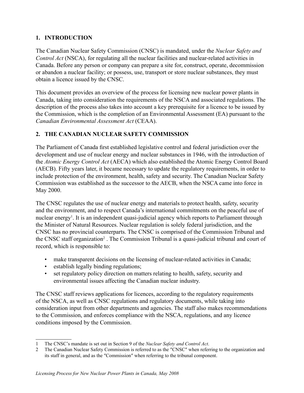# **1. Introduction**

The Canadian Nuclear Safety Commission (CNSC) is mandated, under the *Nuclear Safety and Control Act* (NSCA), for regulating all the nuclear facilities and nuclear-related activities in Canada. Before any person or company can prepare a site for, construct, operate, decommission or abandon a nuclear facility; or possess, use, transport or store nuclear substances, they must obtain a licence issued by the CNSC.

This document provides an overview of the process for licensing new nuclear power plants in Canada, taking into consideration the requirements of the NSCA and associated regulations. The description of the process also takes into account a key prerequisite for a licence to be issued by the Commission, which is the completion of an Environmental Assessment (EA) pursuant to the *Canadian Environmental Assessment Act* (CEAA).

## **2. The Canadian Nuclear Safety Commission**

The Parliament of Canada first established legislative control and federal jurisdiction over the development and use of nuclear energy and nuclear substances in 1946, with the introduction of the *Atomic Energy Control Act* (AECA) which also established the Atomic Energy Control Board (AECB). Fifty years later, it became necessary to update the regulatory requirements, in order to include protection of the environment, health, safety and security. The Canadian Nuclear Safety Commission was established as the successor to the AECB, when the NSCA came into force in May 2000.

The CNSC regulates the use of nuclear energy and materials to protect health, safety, security and the environment, and to respect Canada's international commitments on the peaceful use of nuclear energy<sup>1</sup>. It is an independent quasi-judicial agency which reports to Parliament through the Minister of Natural Resources. Nuclear regulation is solely federal jurisdiction, and the CNSC has no provincial counterparts. The CNSC is comprised of the Commission Tribunal and the CNSC staff organization<sup>2</sup>. The Commission Tribunal is a quasi-judicial tribunal and court of record, which is responsible to:

- make transparent decisions on the licensing of nuclear-related activities in Canada;
- establish legally binding regulations;
- set regulatory policy direction on matters relating to health, safety, security and environmental issues affecting the Canadian nuclear industry.

The CNSC staff reviews applications for licences, according to the regulatory requirements of the NSCA, as well as CNSC regulations and regulatory documents, while taking into consideration input from other departments and agencies. The staff also makes recommendations to the Commission, and enforces compliance with the NSCA, regulations, and any licence conditions imposed by the Commission.

<sup>1</sup> The CNSC's mandate is set out in Section 9 of the *Nuclear Safety and Control Act*.

<sup>2</sup> The Canadian Nuclear Safety Commission is referred to as the "CNSC" when referring to the organization and its staff in general, and as the ″Commission″ when referring to the tribunal component.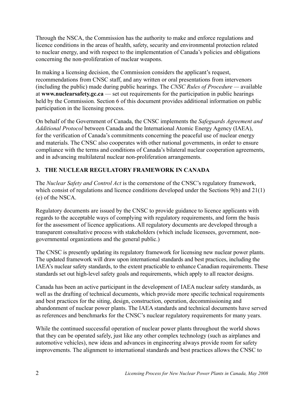Through the NSCA, the Commission has the authority to make and enforce regulations and licence conditions in the areas of health, safety, security and environmental protection related to nuclear energy, and with respect to the implementation of Canada's policies and obligations concerning the non-proliferation of nuclear weapons.

In making a licensing decision, the Commission considers the applicant's request, recommendations from CNSC staff, and any written or oral presentations from intervenors (including the public) made during public hearings. The *CNSC Rules of Procedure —* available at **www.nuclearsafety.gc.ca** — set out requirements for the participation in public hearings held by the Commission. Section 6 of this document provides additional information on public participation in the licensing process.

On behalf of the Government of Canada, the CNSC implements the *Safeguards Agreement and Additional Protocol* between Canada and the International Atomic Energy Agency (IAEA), for the verification of Canada's commitments concerning the peaceful use of nuclear energy and materials. The CNSC also cooperates with other national governments, in order to ensure compliance with the terms and conditions of Canada's bilateral nuclear cooperation agreements, and in advancing multilateral nuclear non-proliferation arrangements.

# **3. The Nuclear Regulatory Framework in Canada**

The *Nuclear Safety and Control Act* is the cornerstone of the CNSC's regulatory framework, which consist of regulations and licence conditions developed under the Sections 9(b) and 21(1) (e) of the NSCA.

Regulatory documents are issued by the CNSC to provide guidance to licence applicants with regards to the acceptable ways of complying with regulatory requirements, and form the basis for the assessment of licence applications. All regulatory documents are developed through a transparent consultative process with stakeholders (which include licensees, government, nongovernmental organizations and the general public.)

The CNSC is presently updating its regulatory framework for licensing new nuclear power plants. The updated framework will draw upon international standards and best practices, including the IAEA's nuclear safety standards, to the extent practicable to enhance Canadian requirements. These standards set out high-level safety goals and requirements, which apply to all reactor designs.

Canada has been an active participant in the development of IAEA nuclear safety standards, as well as the drafting of technical documents, which provide more specific technical requirements and best practices for the siting, design, construction, operation, decommissioning and abandonment of nuclear power plants. The IAEA standards and technical documents have served as references and benchmarks for the CNSC's nuclear regulatory requirements for many years.

While the continued successful operation of nuclear power plants throughout the world shows that they can be operated safely, just like any other complex technology (such as airplanes and automotive vehicles), new ideas and advances in engineering always provide room for safety improvements. The alignment to international standards and best practices allows the CNSC to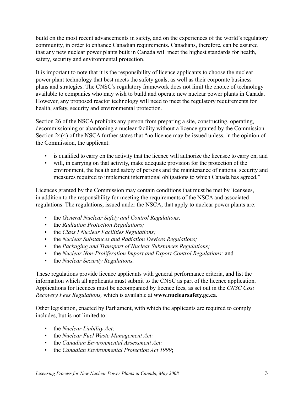build on the most recent advancements in safety, and on the experiences of the world's regulatory community, in order to enhance Canadian requirements. Canadians, therefore, can be assured that any new nuclear power plants built in Canada will meet the highest standards for health, safety, security and environmental protection.

It is important to note that it is the responsibility of licence applicants to choose the nuclear power plant technology that best meets the safety goals, as well as their corporate business plans and strategies. The CNSC's regulatory framework does not limit the choice of technology available to companies who may wish to build and operate new nuclear power plants in Canada. However, any proposed reactor technology will need to meet the regulatory requirements for health, safety, security and environmental protection.

Section 26 of the NSCA prohibits any person from preparing a site, constructing, operating, decommissioning or abandoning a nuclear facility without a licence granted by the Commission. Section 24(4) of the NSCA further states that "no licence may be issued unless, in the opinion of the Commission, the applicant:

- is qualified to carry on the activity that the licence will authorize the licensee to carry on; and
- will, in carrying on that activity, make adequate provision for the protection of the environment, the health and safety of persons and the maintenance of national security and measures required to implement international obligations to which Canada has agreed."

Licences granted by the Commission may contain conditions that must be met by licensees, in addition to the responsibility for meeting the requirements of the NSCA and associated regulations. The regulations, issued under the NSCA, that apply to nuclear power plants are:

- the *General Nuclear Safety and Control Regulations;*
- the *Radiation Protection Regulations;*
- the *Class I Nuclear Facilities Regulations;*
- the *Nuclear Substances and Radiation Devices Regulations;*
- the *Packaging and Transport of Nuclear Substances Regulations;*
- the *Nuclear Non-Proliferation Import and Export Control Regulations;* and
- the *Nuclear Security Regulations.*

These regulations provide licence applicants with general performance criteria, and list the information which all applicants must submit to the CNSC as part of the licence application. Applications for licences must be accompanied by licence fees, as set out in the *CNSC Cost Recovery Fees Regulations,* which is available at **www.nuclearsafety.gc.ca**.

Other legislation, enacted by Parliament, with which the applicants are required to comply includes, but is not limited to:

- the *Nuclear Liability Act;*
- the *Nuclear Fuel Waste Management Act;*
- the *Canadian Environmental Assessment Act;*
- the *Canadian Environmental Protection Act 1999*;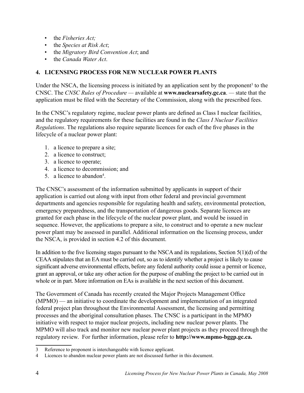- the *Fisheries Act;*
- the *Species at Risk Act*;
- the *Migratory Bird Convention Act*; and
- the *Canada Water Act*.

### **4. Licensing Process for New Nuclear Power Plants**

Under the NSCA, the licensing process is initiated by an application sent by the proponent<sup>3</sup> to the CNSC. The *CNSC Rules of Procedure —* available at **www.nuclearsafety.gc.ca**. *—* state that the application must be filed with the Secretary of the Commission, along with the prescribed fees.

In the CNSC's regulatory regime, nuclear power plants are defined as Class I nuclear facilities, and the regulatory requirements for these facilities are found in the *Class I Nuclear Facilities Regulations*. The regulations also require separate licences for each of the five phases in the lifecycle of a nuclear power plant:

- 1. a licence to prepare a site;
- 2. a licence to construct;
- 3. a licence to operate;
- 4. a licence to decommission; and
- 5. a licence to abandon<sup>4</sup>.

The CNSC's assessment of the information submitted by applicants in support of their application is carried out along with input from other federal and provincial government departments and agencies responsible for regulating health and safety, environmental protection, emergency preparedness, and the transportation of dangerous goods. Separate licences are granted for each phase in the lifecycle of the nuclear power plant, and would be issued in sequence. However, the applications to prepare a site, to construct and to operate a new nuclear power plant may be assessed in parallel. Additional information on the licensing process, under the NSCA, is provided in section 4.2 of this document.

In addition to the five licensing stages pursuant to the NSCA and its regulations, Section  $5(1)(d)$  of the CEAA stipulates that an EA must be carried out, so as to identify whether a project is likely to cause significant adverse environmental effects, before any federal authority could issue a permit or licence, grant an approval, or take any other action for the purpose of enabling the project to be carried out in whole or in part. More information on EAs is available in the next section of this document.

The Government of Canada has recently created the Major Projects Management Office (MPMO) — an initiative to coordinate the development and implementation of an integrated federal project plan throughout the Environmental Assessment, the licensing and permitting processes and the aboriginal consultation phases. The CNSC is a participant in the MPMO initiative with respect to major nuclear projects, including new nuclear power plants. The MPMO will also track and monitor new nuclear power plant projects as they proceed through the regulatory review. For further information, please refer to **http://www.mpmo-bggp.gc.ca.**

<sup>3</sup> Reference to proponent is interchangeable with licence applicant.

<sup>4</sup> Licences to abandon nuclear power plants are not discussed further in this document.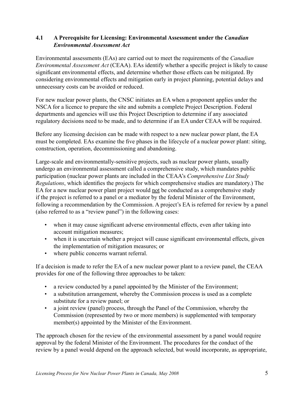### **4.1 A Prerequisite for Licensing: Environmental Assessment under the** *Canadian Environmental Assessment Act*

Environmental assessments (EAs) are carried out to meet the requirements of the *Canadian Environmental Assessment Act* (CEAA). EAs identify whether a specific project is likely to cause significant environmental effects, and determine whether those effects can be mitigated. By considering environmental effects and mitigation early in project planning, potential delays and unnecessary costs can be avoided or reduced.

For new nuclear power plants, the CNSC initiates an EA when a proponent applies under the NSCA for a licence to prepare the site and submits a complete Project Description. Federal departments and agencies will use this Project Description to determine if any associated regulatory decisions need to be made, and to determine if an EA under CEAA will be required.

Before any licensing decision can be made with respect to a new nuclear power plant, the EA must be completed. EAs examine the five phases in the lifecycle of a nuclear power plant: siting, construction, operation, decommissioning and abandoning.

Large-scale and environmentally-sensitive projects, such as nuclear power plants, usually undergo an environmental assessment called a comprehensive study, which mandates public participation (nuclear power plants are included in the CEAA's *Comprehensive List Study Regulations*, which identifies the projects for which comprehensive studies are mandatory.) The EA for a new nuclear power plant project would not be conducted as a comprehensive study if the project is referred to a panel or a mediator by the federal Minister of the Environment, following a recommendation by the Commission. A project's EA is referred for review by a panel (also referred to as a "review panel") in the following cases:

- when it may cause significant adverse environmental effects, even after taking into account mitigation measures;
- when it is uncertain whether a project will cause significant environmental effects, given the implementation of mitigation measures; or
- where public concerns warrant referral.

If a decision is made to refer the EA of a new nuclear power plant to a review panel, the CEAA provides for one of the following three approaches to be taken:

- a review conducted by a panel appointed by the Minister of the Environment;
- a substitution arrangement, whereby the Commission process is used as a complete substitute for a review panel; or
- a joint review (panel) process, through the Panel of the Commission, whereby the Commission (represented by two or more members) is supplemented with temporary member(s) appointed by the Minister of the Environment.

The approach chosen for the review of the environmental assessment by a panel would require approval by the federal Minister of the Environment. The procedures for the conduct of the review by a panel would depend on the approach selected, but would incorporate, as appropriate,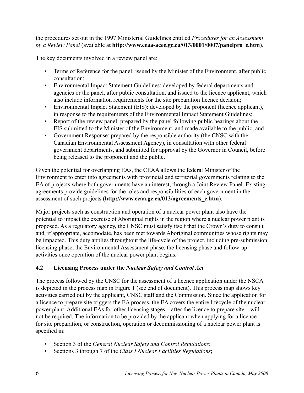the procedures set out in the 1997 Ministerial Guidelines entitled *Procedures for an Assessment by a Review Panel* (available at **http://www.ceaa-acee.gc.ca/013/0001/0007/panelpro\_e.htm**)*.*

The key documents involved in a review panel are:

- Terms of Reference for the panel: issued by the Minister of the Environment, after public consultation;
- Environmental Impact Statement Guidelines: developed by federal departments and agencies or the panel, after public consultation, and issued to the licence applicant, which also include information requirements for the site preparation licence decision;
- Environmental Impact Statement (EIS): developed by the proponent (licence applicant), in response to the requirements of the Environmental Impact Statement Guidelines;
- Report of the review panel: prepared by the panel following public hearings about the EIS submitted to the Minister of the Environment, and made available to the public; and
- Government Response: prepared by the responsible authority (the CNSC with the Canadian Environmental Assessment Agency), in consultation with other federal government departments, and submitted for approval by the Governor in Council, before being released to the proponent and the public.

Given the potential for overlapping EAs, the CEAA allows the federal Minister of the Environment to enter into agreements with provincial and territorial governments relating to the EA of projects where both governments have an interest, through a Joint Review Panel. Existing agreements provide guidelines for the roles and responsibilities of each government in the assessment of such projects (**http://www.ceaa.gc.ca/013/agreements\_e.htm**).

Major projects such as construction and operation of a nuclear power plant also have the potential to impact the exercise of Aboriginal rights in the region where a nuclear power plant is proposed. As a regulatory agency, the CNSC must satisfy itself that the Crown's duty to consult and, if appropriate, accomodate, has been met towards Aboriginal communities whose rights may be impacted. This duty applies throughtout the life-cycle of the project, including pre-submission licensing phase, the Environmental Assessment phase, the licensing phase and follow-up activities once operation of the nuclear power plant begins.

## **4.2 Licensing Process under the** *Nuclear Safety and Control Act*

The process followed by the CNSC for the assessment of a licence application under the NSCA is depicted in the process map in Figure 1 (see end of document). This process map shows key activities carried out by the applicant, CNSC staff and the Commission. Since the application for a licence to prepare site triggers the EA process, the EA covers the entire lifecycle of the nuclear power plant. Additional EAs for other licensing stages – after the licence to prepare site – will not be required. The information to be provided by the applicant when applying for a licence for site preparation, or construction, operation or decommissioning of a nuclear power plant is specified in:

- Section 3 of the *General Nuclear Safety and Control Regulations*;
- Sections 3 through 7 of the *Class I Nuclear Facilities Regulations*;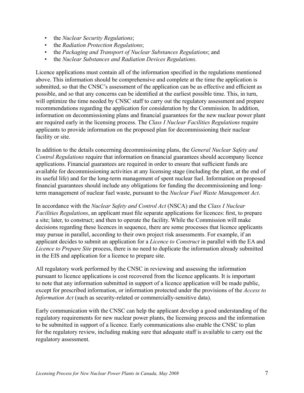- the *Nuclear Security Regulations*;
- the *Radiation Protection Regulations*;
- the *Packaging and Transport of Nuclear Substances Regulations*; and
- the *Nuclear Substances and Radiation Devices Regulations.*

Licence applications must contain all of the information specified in the regulations mentioned above. This information should be comprehensive and complete at the time the application is submitted, so that the CNSC's assessment of the application can be as effective and efficient as possible, and so that any concerns can be identified at the earliest possible time. This, in turn, will optimize the time needed by CNSC staff to carry out the regulatory assessment and prepare recommendations regarding the application for consideration by the Commission. In addition, information on decommissioning plans and financial guarantees for the new nuclear power plant are required early in the licensing process. The *Class I Nuclear Facilities Regulations* require applicants to provide information on the proposed plan for decommissioning their nuclear facility or site.

In addition to the details concerning decommissioning plans, the *General Nuclear Safety and Control Regulations* require that information on financial guarantees should accompany licence applications. Financial guarantees are required in order to ensure that sufficient funds are available for decommissioning activities at any licensing stage (including the plant, at the end of its useful life) and for the long-term management of spent nuclear fuel. Information on proposed financial guarantees should include any obligations for funding the decommissioning and longterm management of nuclear fuel waste, pursuant to the *Nuclear Fuel Waste Management Act*.

In accordance with the *Nuclear Safety and Control Act* (NSCA) and the *Class I Nuclear Facilities Regulations*, an applicant must file separate applications for licences: first, to prepare a site; later, to construct; and then to operate the facility. While the Commission will make decisions regarding these licences in sequence, there are some processes that licence applicants may pursue in parallel, according to their own project risk assessments. For example, if an applicant decides to submit an application for a *Licence to Construct* in parallel with the EA and *Licence to Prepare Site* process, there is no need to duplicate the information already submitted in the EIS and application for a licence to prepare site.

All regulatory work performed by the CNSC in reviewing and assessing the information pursuant to licence applications is cost recovered from the licence applicants. It is important to note that any information submitted in support of a licence application will be made public, except for prescribed information, or information protected under the provisions of the *Access to Information Act* (such as security-related or commercially-sensitive data).

Early communication with the CNSC can help the applicant develop a good understanding of the regulatory requirements for new nuclear power plants, the licensing process and the information to be submitted in support of a licence. Early communications also enable the CNSC to plan for the regulatory review, including making sure that adequate staff is available to carry out the regulatory assessment.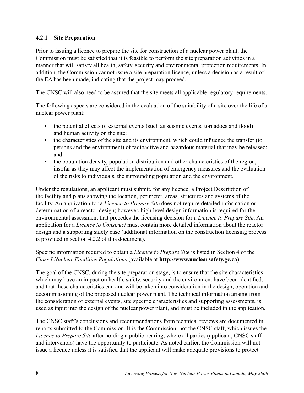## **4.2.1 Site Preparation**

Prior to issuing a licence to prepare the site for construction of a nuclear power plant, the Commission must be satisfied that it is feasible to perform the site preparation activities in a manner that will satisfy all health, safety, security and environmental protection requirements. In addition, the Commission cannot issue a site preparation licence, unless a decision as a result of the EA has been made, indicating that the project may proceed.

The CNSC will also need to be assured that the site meets all applicable regulatory requirements.

The following aspects are considered in the evaluation of the suitability of a site over the life of a nuclear power plant:

- the potential effects of external events (such as seismic events, tornadoes and flood) and human activity on the site;
- the characteristics of the site and its environment, which could influence the transfer (to persons and the environment) of radioactive and hazardous material that may be released; and
- the population density, population distribution and other characteristics of the region, insofar as they may affect the implementation of emergency measures and the evaluation of the risks to individuals, the surrounding population and the environment.

Under the regulations, an applicant must submit, for any licence, a Project Description of the facility and plans showing the location, perimeter, areas, structures and systems of the facility. An application for a *Licence to Prepare Site* does not require detailed information or determination of a reactor design; however, high level design information is required for the environmental assessment that precedes the licensing decision for a *Licence to Prepare Site*. An application for a *Licence to Construct* must contain more detailed information about the reactor design and a supporting safety case (additional information on the construction licensing process is provided in section 4.2.2 of this document).

### Specific information required to obtain a *Licence to Prepare Site* is listed in Section 4 of the *Class I Nuclear Facilities Regulations* (available at **http://www.nuclearsafety.gc.ca**).

The goal of the CNSC, during the site preparation stage, is to ensure that the site characteristics which may have an impact on health, safety, security and the environment have been identified, and that these characteristics can and will be taken into consideration in the design, operation and decommissioning of the proposed nuclear power plant. The technical information arising from the consideration of external events, site specific characteristics and supporting assessments, is used as input into the design of the nuclear power plant, and must be included in the application.

The CNSC staff's conclusions and recommendations from technical reviews are documented in reports submitted to the Commission. It is the Commission, not the CNSC staff, which issues the *Licence to Prepare Site* after holding a public hearing, where all parties (applicant, CNSC staff and intervenors) have the opportunity to participate. As noted earlier, the Commission will not issue a licence unless it is satisfied that the applicant will make adequate provisions to protect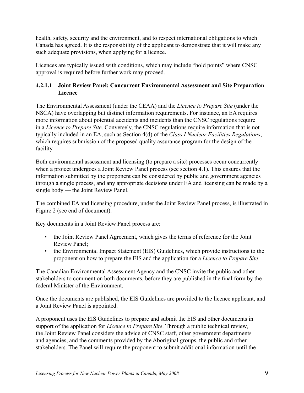health, safety, security and the environment, and to respect international obligations to which Canada has agreed. It is the responsibility of the applicant to demonstrate that it will make any such adequate provisions, when applying for a licence.

Licences are typically issued with conditions, which may include "hold points" where CNSC approval is required before further work may proceed.

## **4.2.1.1 Joint Review Panel: Concurrent Environmental Assessment and Site Preparation Licence**

The Environmental Assessment (under the CEAA) and the *Licence to Prepare Site* (under the NSCA) have overlapping but distinct information requirements. For instance, an EA requires more information about potential accidents and incidents than the CNSC regulations require in a *Licence to Prepare Site*. Conversely, the CNSC regulations require information that is not typically included in an EA, such as Section 4(d) of the *Class I Nuclear Facilities Regulations*, which requires submission of the proposed quality assurance program for the design of the facility.

Both environmental assessment and licensing (to prepare a site) processes occur concurrently when a project undergoes a Joint Review Panel process (see section 4.1). This ensures that the information submitted by the proponent can be considered by public and government agencies through a single process, and any appropriate decisions under EA and licensing can be made by a single body — the Joint Review Panel.

The combined EA and licensing procedure, under the Joint Review Panel process, is illustrated in Figure 2 (see end of document).

Key documents in a Joint Review Panel process are:

- the Joint Review Panel Agreement, which gives the terms of reference for the Joint Review Panel;
- the Environmental Impact Statement (EIS) Guidelines, which provide instructions to the proponent on how to prepare the EIS and the application for a *Licence to Prepare Site*.

The Canadian Environmental Assessment Agency and the CNSC invite the public and other stakeholders to comment on both documents, before they are published in the final form by the federal Minister of the Environment.

Once the documents are published, the EIS Guidelines are provided to the licence applicant, and a Joint Review Panel is appointed.

A proponent uses the EIS Guidelines to prepare and submit the EIS and other documents in support of the application for *Licence to Prepare Site*. Through a public technical review, the Joint Review Panel considers the advice of CNSC staff, other government departments and agencies, and the comments provided by the Aboriginal groups, the public and other stakeholders. The Panel will require the proponent to submit additional information until the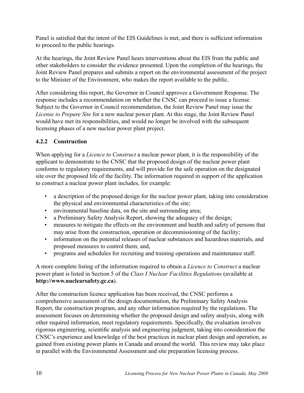Panel is satisfied that the intent of the EIS Guidelines is met, and there is sufficient information to proceed to the public hearings.

At the hearings, the Joint Review Panel hears interventions about the EIS from the public and other stakeholders to consider the evidence presented. Upon the completion of the hearings, the Joint Review Panel prepares and submits a report on the environmental assessment of the project to the Minister of the Environment, who makes the report available to the public.

After considering this report, the Governor in Council approves a Government Response. The response includes a recommendation on whether the CNSC can proceed to issue a license. Subject to the Governor in Council recommendation, the Joint Review Panel may issue the *License to Prepare Site* for a new nuclear power plant. At this stage, the Joint Review Panel would have met its responsibilities, and would no longer be involved with the subsequent licensing phases of a new nuclear power plant project.

### **4.2.2 Construction**

When applying for a *Licence to Construct* a nuclear power plant, it is the responsibility of the applicant to demonstrate to the CNSC that the proposed design of the nuclear power plant conforms to regulatory requirements, and will provide for the safe operation on the designated site over the proposed life of the facility. The information required in support of the application to construct a nuclear power plant includes, for example:

- a description of the proposed design for the nuclear power plant, taking into consideration the physical and environmental characteristics of the site;
- environmental baseline data, on the site and surrounding area;
- a Preliminary Safety Analysis Report, showing the adequacy of the design;
- measures to mitigate the effects on the environment and health and safety of persons that may arise from the construction, operation or decommissioning of the facility;
- information on the potential releases of nuclear substances and hazardous materials, and proposed measures to control them; and,
- programs and schedules for recruiting and training operations and maintenance staff.

A more complete listing of the information required to obtain a *Licence to Construct* a nuclear power plant is listed in Section 5 of the *Class I Nuclear Facilities Regulations* (available at **http://www.nuclearsafety.gc.ca**).

After the construction licence application has been received, the CNSC performs a comprehensive assessment of the design documentation, the Preliminary Safety Analysis Report, the construction program, and any other information required by the regulations. The assessment focuses on determining whether the proposed design and safety analysis, along with other required information, meet regulatory requirements. Specifically, the evaluation involves rigorous engineering, scientific analysis and engineering judgment, taking into consideration the CNSC's experience and knowledge of the best practices in nuclear plant design and operation, as gained from existing power plants in Canada and around the world. This review may take place in parallel with the Environmental Assessment and site preparation licensing process.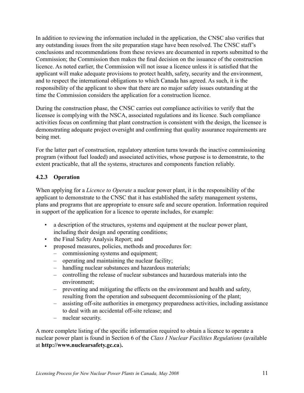In addition to reviewing the information included in the application, the CNSC also verifies that any outstanding issues from the site preparation stage have been resolved. The CNSC staff's conclusions and recommendations from these reviews are documented in reports submitted to the Commission; the Commission then makes the final decision on the issuance of the construction licence. As noted earlier, the Commission will not issue a licence unless it is satisfied that the applicant will make adequate provisions to protect health, safety, security and the environment, and to respect the international obligations to which Canada has agreed. As such, it is the responsibility of the applicant to show that there are no major safety issues outstanding at the time the Commission considers the application for a construction licence.

During the construction phase, the CNSC carries out compliance activities to verify that the licensee is complying with the NSCA, associated regulations and its licence. Such compliance activities focus on confirming that plant construction is consistent with the design, the licensee is demonstrating adequate project oversight and confirming that quality assurance requirements are being met.

For the latter part of construction, regulatory attention turns towards the inactive commissioning program (without fuel loaded) and associated activities, whose purpose is to demonstrate, to the extent practicable, that all the systems, structures and components function reliably.

### **4.2.3 Operation**

When applying for a *Licence to Operate* a nuclear power plant, it is the responsibility of the applicant to demonstrate to the CNSC that it has established the safety management systems, plans and programs that are appropriate to ensure safe and secure operation. Information required in support of the application for a licence to operate includes, for example:

- a description of the structures, systems and equipment at the nuclear power plant, including their design and operating conditions;
- the Final Safety Analysis Report; and
- proposed measures, policies, methods and procedures for:
	- commissioning systems and equipment;
	- operating and maintaining the nuclear facility;
	- handling nuclear substances and hazardous materials;
	- controlling the release of nuclear substances and hazardous materials into the environment;
	- preventing and mitigating the effects on the environment and health and safety, resulting from the operation and subsequent decommissioning of the plant;
	- assisting off-site authorities in emergency preparedness activities, including assistance to deal with an accidental off-site release; and
	- nuclear security.

A more complete listing of the specific information required to obtain a licence to operate a nuclear power plant is found in Section 6 of the *Class I Nuclear Facilities Regulations* (available at **http://www.nuclearsafety.gc.ca**)**.**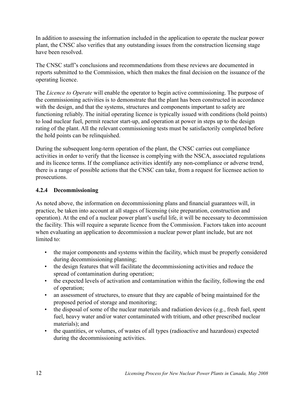In addition to assessing the information included in the application to operate the nuclear power plant, the CNSC also verifies that any outstanding issues from the construction licensing stage have been resolved.

The CNSC staff's conclusions and recommendations from these reviews are documented in reports submitted to the Commission, which then makes the final decision on the issuance of the operating licence.

The *Licence to Operate* will enable the operator to begin active commissioning. The purpose of the commissioning activities is to demonstrate that the plant has been constructed in accordance with the design, and that the systems, structures and components important to safety are functioning reliably. The initial operating licence is typically issued with conditions (hold points) to load nuclear fuel, permit reactor start-up, and operation at power in steps up to the design rating of the plant. All the relevant commissioning tests must be satisfactorily completed before the hold points can be relinquished.

During the subsequent long-term operation of the plant, the CNSC carries out compliance activities in order to verify that the licensee is complying with the NSCA, associated regulations and its licence terms. If the compliance activities identify any non-compliance or adverse trend, there is a range of possible actions that the CNSC can take, from a request for licensee action to prosecutions.

### **4.2.4 Decommissioning**

As noted above, the information on decommissioning plans and financial guarantees will, in practice, be taken into account at all stages of licensing (site preparation, construction and operation). At the end of a nuclear power plant's useful life, it will be necessary to decommission the facility. This will require a separate licence from the Commission. Factors taken into account when evaluating an application to decommission a nuclear power plant include, but are not limited to:

- the major components and systems within the facility, which must be properly considered during decommissioning planning;
- the design features that will facilitate the decommissioning activities and reduce the spread of contamination during operation;
- the expected levels of activation and contamination within the facility, following the end of operation;
- an assessment of structures, to ensure that they are capable of being maintained for the proposed period of storage and monitoring;
- the disposal of some of the nuclear materials and radiation devices (e.g., fresh fuel, spent fuel, heavy water and/or water contaminated with tritium, and other prescribed nuclear materials); and
- the quantities, or volumes, of wastes of all types (radioactive and hazardous) expected during the decommissioning activities.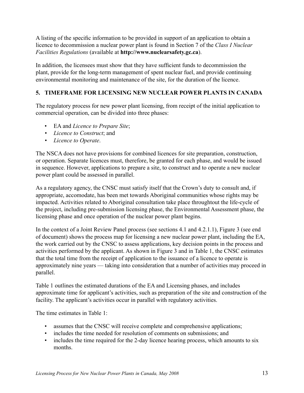A listing of the specific information to be provided in support of an application to obtain a licence to decommission a nuclear power plant is found in Section 7 of the *Class I Nuclear Facilities Regulations* (available at **http://www.nuclearsafety.gc.ca**).

In addition, the licensees must show that they have sufficient funds to decommission the plant, provide for the long-term management of spent nuclear fuel, and provide continuing environmental monitoring and maintenance of the site, for the duration of the licence.

### **5. TIMEFRAME FOR LICENSING NEW NUCLEAR POWER PLANTS IN CANADA**

The regulatory process for new power plant licensing, from receipt of the initial application to commercial operation, can be divided into three phases:

- EA and *Licence to Prepare Site*;
- *• Licence to Construct*; and
- *• Licence to Operate*.

The NSCA does not have provisions for combined licences for site preparation, construction, or operation. Separate licences must, therefore, be granted for each phase, and would be issued in sequence. However, applications to prepare a site, to construct and to operate a new nuclear power plant could be assessed in parallel.

As a regulatory agency, the CNSC must satisfy itself that the Crown's duty to consult and, if appropriate, accomodate, has been met towards Aboriginal communities whose rights may be impacted. Activities related to Aboriginal consultation take place throughtout the life-cycle of the project, including pre-submission licensing phase, the Environmental Assessment phase, the licensing phase and once operation of the nuclear power plant begins.

In the context of a Joint Review Panel process (see sections 4.1 and 4.2.1.1), Figure 3 (see end of document) shows the process map for licensing a new nuclear power plant, including the EA, the work carried out by the CNSC to assess applications, key decision points in the process and activities performed by the applicant. As shown in Figure 3 and in Table 1, the CNSC estimates that the total time from the receipt of application to the issuance of a licence to operate is approximately nine years — taking into consideration that a number of activities may proceed in parallel.

Table 1 outlines the estimated durations of the EA and Licensing phases, and includes approximate time for applicant's activities, such as preparation of the site and construction of the facility. The applicant's activities occur in parallel with regulatory activities.

The time estimates in Table 1:

- assumes that the CNSC will receive complete and comprehensive applications;
- includes the time needed for resolution of comments on submissions; and
- includes the time required for the 2-day licence hearing process, which amounts to six months.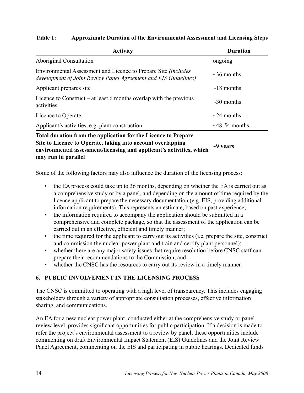### **Table 1: Approximate Duration of the Environmental Assessment and Licensing Steps**

| <b>Activity</b>                                                                                                                                                                                                              | <b>Duration</b>     |
|------------------------------------------------------------------------------------------------------------------------------------------------------------------------------------------------------------------------------|---------------------|
| <b>Aboriginal Consultation</b>                                                                                                                                                                                               | ongoing             |
| Environmental Assessment and Licence to Prepare Site <i>(includes</i> )<br>development of Joint Review Panel Agreement and EIS Guidelines)                                                                                   | $\sim$ 36 months    |
| Applicant prepares site                                                                                                                                                                                                      | $\sim$ 18 months    |
| Licence to Construct – at least 6 months overlap with the previous<br>activities                                                                                                                                             | $\sim$ 30 months    |
| Licence to Operate                                                                                                                                                                                                           | $\sim$ 24 months    |
| Applicant's activities, e.g. plant construction                                                                                                                                                                              | $\sim$ 48-54 months |
| Total duration from the application for the Licence to Prepare<br>Site to Licence to Operate, taking into account overlapping<br>environmental assessment/licensing and applicant's activities, which<br>may run in parallel | $\sim$ 9 years      |

Some of the following factors may also influence the duration of the licensing process:

- the EA process could take up to 36 months, depending on whether the EA is carried out as a comprehensive study or by a panel, and depending on the amount of time required by the licence applicant to prepare the necessary documentation (e.g. EIS, providing additional information requirements). This represents an estimate, based on past experience;
- the information required to accompany the application should be submitted in a comprehensive and complete package, so that the assessment of the application can be carried out in an effective, efficient and timely manner;
- the time required for the applicant to carry out its activities (i.e. prepare the site, construct and commission the nuclear power plant and train and certify plant personnel);
- whether there are any major safety issues that require resolution before CNSC staff can prepare their recommendations to the Commission; and
- whether the CNSC has the resources to carry out its review in a timely manner.

## **6. Public Involvement in the Licensing Process**

The CNSC is committed to operating with a high level of transparency. This includes engaging stakeholders through a variety of appropriate consultation processes, effective information sharing, and communications.

An EA for a new nuclear power plant, conducted either at the comprehensive study or panel review level, provides significant opportunities for public participation. If a decision is made to refer the project's environmental assessment to a review by panel, these opportunities include commenting on draft Environmental Impact Statement (EIS) Guidelines and the Joint Review Panel Agreement, commenting on the EIS and participating in public hearings. Dedicated funds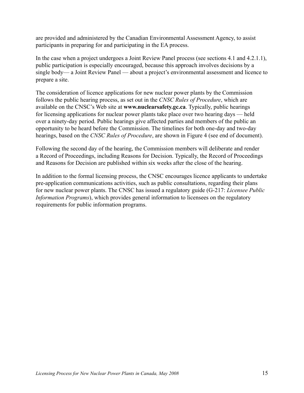are provided and administered by the Canadian Environmental Assessment Agency, to assist participants in preparing for and participating in the EA process.

In the case when a project undergoes a Joint Review Panel process (see sections 4.1 and 4.2.1.1), public participation is especially encouraged, because this approach involves decisions by a single body— a Joint Review Panel — about a project's environmental assessment and licence to prepare a site.

The consideration of licence applications for new nuclear power plants by the Commission follows the public hearing process, as set out in the *CNSC Rules of Procedure*, which are available on the CNSC's Web site at **www.nuclearsafety.gc.ca**. Typically, public hearings for licensing applications for nuclear power plants take place over two hearing days — held over a ninety-day period. Public hearings give affected parties and members of the public an opportunity to be heard before the Commission. The timelines for both one-day and two-day hearings, based on the *CNSC Rules of Procedure*, are shown in Figure 4 (see end of document).

Following the second day of the hearing, the Commission members will deliberate and render a Record of Proceedings, including Reasons for Decision. Typically, the Record of Proceedings and Reasons for Decision are published within six weeks after the close of the hearing.

In addition to the formal licensing process, the CNSC encourages licence applicants to undertake pre-application communications activities, such as public consultations, regarding their plans for new nuclear power plants. The CNSC has issued a regulatory guide (G-217: *Licensee Public Information Programs*), which provides general information to licensees on the regulatory requirements for public information programs.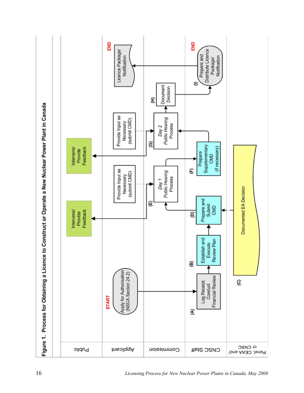

*Licensing Process for New Nuclear Power Plants in Canada, May 2008*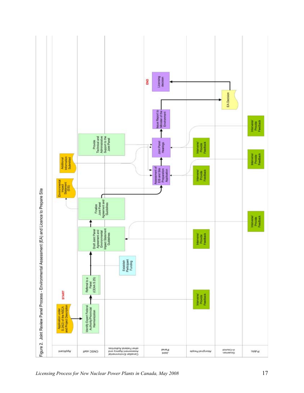

*Licensing Process for New Nuclear Power Plants in Canada, May 2008* 17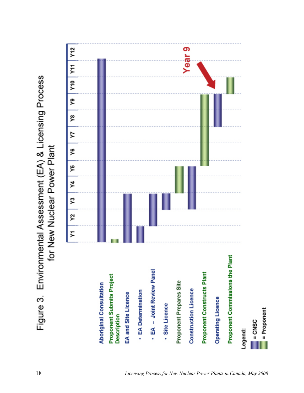Figure 3. Environmental Assessment (EA) & Licensing Process for New Nuclear Power Plant